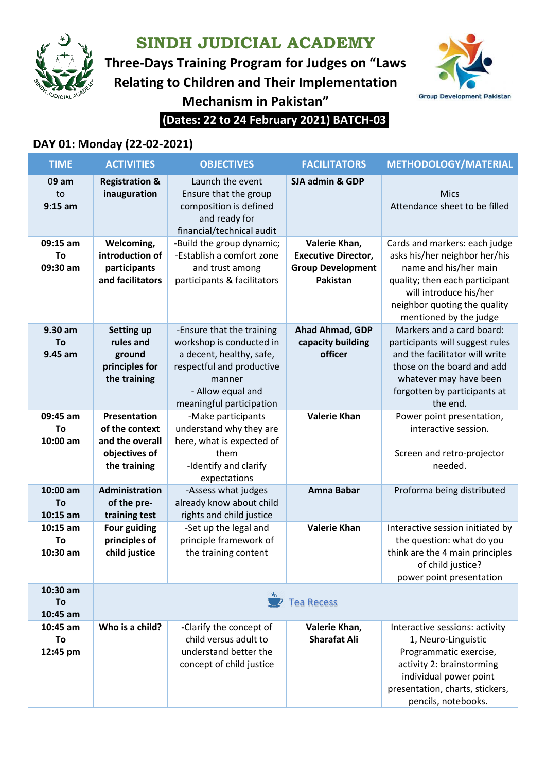

**SINDH JUDICIAL ACADEMY**

**Three-Days Training Program for Judges on "Laws Relating to Children and Their Implementation Mechanism in Pakistan"**



**(Dates: 22 to 24 February 2021) BATCH-03**

## **DAY 01: Monday (22-02-2021)**

| <b>TIME</b>                  | <b>ACTIVITIES</b>                                                                  | <b>OBJECTIVES</b>                                                                                                                                                         | <b>FACILITATORS</b>                                                                 | <b>METHODOLOGY/MATERIAL</b>                                                                                                                                                                                   |  |
|------------------------------|------------------------------------------------------------------------------------|---------------------------------------------------------------------------------------------------------------------------------------------------------------------------|-------------------------------------------------------------------------------------|---------------------------------------------------------------------------------------------------------------------------------------------------------------------------------------------------------------|--|
| 09 am<br>to<br>$9:15$ am     | <b>Registration &amp;</b><br>inauguration                                          | Launch the event<br>Ensure that the group<br>composition is defined<br>and ready for<br>financial/technical audit                                                         | SJA admin & GDP                                                                     | Mics<br>Attendance sheet to be filled                                                                                                                                                                         |  |
| 09:15 am<br>To<br>09:30 am   | Welcoming,<br>introduction of<br>participants<br>and facilitators                  | -Build the group dynamic;<br>-Establish a comfort zone<br>and trust among<br>participants & facilitators                                                                  | Valerie Khan,<br><b>Executive Director,</b><br><b>Group Development</b><br>Pakistan | Cards and markers: each judge<br>asks his/her neighbor her/his<br>name and his/her main<br>quality; then each participant<br>will introduce his/her<br>neighbor quoting the quality<br>mentioned by the judge |  |
| 9.30 am<br>To<br>9.45 am     | <b>Setting up</b><br>rules and<br>ground<br>principles for<br>the training         | -Ensure that the training<br>workshop is conducted in<br>a decent, healthy, safe,<br>respectful and productive<br>manner<br>- Allow equal and<br>meaningful participation | Ahad Ahmad, GDP<br>capacity building<br>officer                                     | Markers and a card board:<br>participants will suggest rules<br>and the facilitator will write<br>those on the board and add<br>whatever may have been<br>forgotten by participants at<br>the end.            |  |
| 09:45 am<br>To<br>10:00 am   | Presentation<br>of the context<br>and the overall<br>objectives of<br>the training | -Make participants<br>understand why they are<br>here, what is expected of<br>them<br>-Identify and clarify<br>expectations                                               | <b>Valerie Khan</b>                                                                 | Power point presentation,<br>interactive session.<br>Screen and retro-projector<br>needed.                                                                                                                    |  |
| 10:00 am<br>To<br>$10:15$ am | Administration<br>of the pre-<br>training test                                     | -Assess what judges<br>already know about child<br>rights and child justice                                                                                               | Amna Babar                                                                          | Proforma being distributed                                                                                                                                                                                    |  |
| $10:15$ am<br>To<br>10:30 am | <b>Four guiding</b><br>principles of<br>child justice                              | -Set up the legal and<br>principle framework of<br>the training content                                                                                                   | <b>Valerie Khan</b>                                                                 | Interactive session initiated by<br>the question: what do you<br>think are the 4 main principles<br>of child justice?<br>power point presentation                                                             |  |
| 10:30 am<br>To<br>10:45 am   | <b>Tea Recess</b>                                                                  |                                                                                                                                                                           |                                                                                     |                                                                                                                                                                                                               |  |
| 10:45 am<br>To<br>12:45 pm   | Who is a child?                                                                    | -Clarify the concept of<br>child versus adult to<br>understand better the<br>concept of child justice                                                                     | Valerie Khan,<br><b>Sharafat Ali</b>                                                | Interactive sessions: activity<br>1, Neuro-Linguistic<br>Programmatic exercise,<br>activity 2: brainstorming<br>individual power point<br>presentation, charts, stickers,<br>pencils, notebooks.              |  |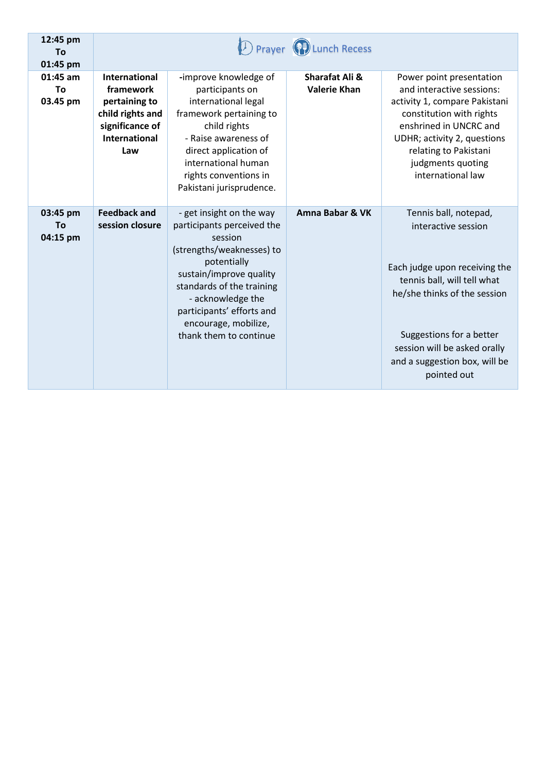| 12:45 pm<br>To<br>01:45 pm |                                                                                                                          |                                                                                                                                                                                                                                                                           | Prayer (PI) Lunch Recess              |                                                                                                                                                                                                                                                          |
|----------------------------|--------------------------------------------------------------------------------------------------------------------------|---------------------------------------------------------------------------------------------------------------------------------------------------------------------------------------------------------------------------------------------------------------------------|---------------------------------------|----------------------------------------------------------------------------------------------------------------------------------------------------------------------------------------------------------------------------------------------------------|
| 01:45 am<br>Τo<br>03.45 pm | <b>International</b><br>framework<br>pertaining to<br>child rights and<br>significance of<br><b>International</b><br>Law | -improve knowledge of<br>participants on<br>international legal<br>framework pertaining to<br>child rights<br>- Raise awareness of<br>direct application of<br>international human<br>rights conventions in<br>Pakistani jurisprudence.                                   | Sharafat Ali &<br><b>Valerie Khan</b> | Power point presentation<br>and interactive sessions:<br>activity 1, compare Pakistani<br>constitution with rights<br>enshrined in UNCRC and<br>UDHR; activity 2, questions<br>relating to Pakistani<br>judgments quoting<br>international law           |
| 03:45 pm<br>To<br>04:15 pm | <b>Feedback and</b><br>session closure                                                                                   | - get insight on the way<br>participants perceived the<br>session<br>(strengths/weaknesses) to<br>potentially<br>sustain/improve quality<br>standards of the training<br>- acknowledge the<br>participants' efforts and<br>encourage, mobilize,<br>thank them to continue | <b>Amna Babar &amp; VK</b>            | Tennis ball, notepad,<br>interactive session<br>Each judge upon receiving the<br>tennis ball, will tell what<br>he/she thinks of the session<br>Suggestions for a better<br>session will be asked orally<br>and a suggestion box, will be<br>pointed out |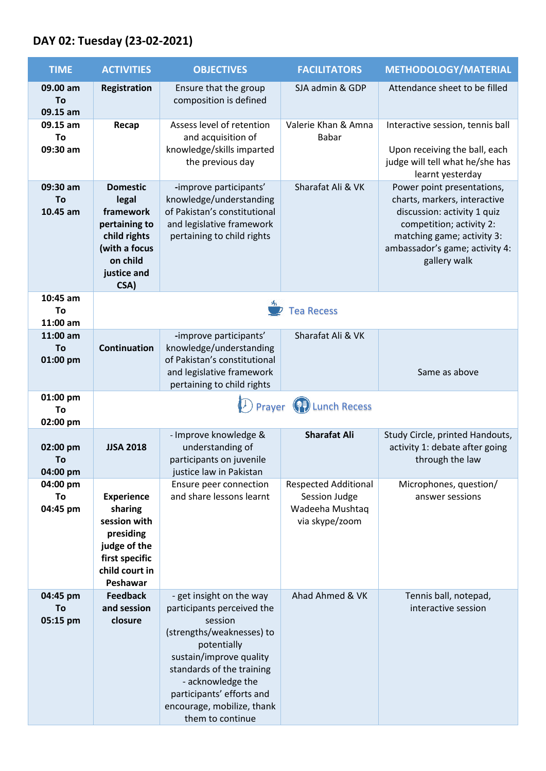## **DAY 02: Tuesday (23-02-2021)**

| <b>TIME</b>                | <b>ACTIVITIES</b>                                                                                                          | <b>OBJECTIVES</b>                                                                                                                                                                                                                                                         | <b>FACILITATORS</b>                                                               | <b>METHODOLOGY/MATERIAL</b>                                                                                                                                                                           |  |  |
|----------------------------|----------------------------------------------------------------------------------------------------------------------------|---------------------------------------------------------------------------------------------------------------------------------------------------------------------------------------------------------------------------------------------------------------------------|-----------------------------------------------------------------------------------|-------------------------------------------------------------------------------------------------------------------------------------------------------------------------------------------------------|--|--|
| 09.00 am<br>To<br>09.15 am | <b>Registration</b>                                                                                                        | Ensure that the group<br>composition is defined                                                                                                                                                                                                                           | SJA admin & GDP                                                                   | Attendance sheet to be filled                                                                                                                                                                         |  |  |
| 09.15 am<br>To             | Recap                                                                                                                      | Assess level of retention<br>and acquisition of                                                                                                                                                                                                                           | Valerie Khan & Amna<br>Babar                                                      | Interactive session, tennis ball                                                                                                                                                                      |  |  |
| 09:30 am                   |                                                                                                                            | knowledge/skills imparted<br>the previous day                                                                                                                                                                                                                             |                                                                                   | Upon receiving the ball, each<br>judge will tell what he/she has<br>learnt yesterday                                                                                                                  |  |  |
| 09:30 am<br>To<br>10.45 am | <b>Domestic</b><br>legal<br>framework<br>pertaining to<br>child rights<br>(with a focus<br>on child<br>justice and<br>CSA) | -improve participants'<br>knowledge/understanding<br>of Pakistan's constitutional<br>and legislative framework<br>pertaining to child rights                                                                                                                              | Sharafat Ali & VK                                                                 | Power point presentations,<br>charts, markers, interactive<br>discussion: activity 1 quiz<br>competition; activity 2:<br>matching game; activity 3:<br>ambassador's game; activity 4:<br>gallery walk |  |  |
| 10:45 am<br>To<br>11:00 am | у,<br><b>Tea Recess</b>                                                                                                    |                                                                                                                                                                                                                                                                           |                                                                                   |                                                                                                                                                                                                       |  |  |
| 11:00 am<br>To<br>01:00 pm | <b>Continuation</b>                                                                                                        | -improve participants'<br>knowledge/understanding<br>of Pakistan's constitutional<br>and legislative framework                                                                                                                                                            | Sharafat Ali & VK                                                                 | Same as above                                                                                                                                                                                         |  |  |
| 01:00 pm<br>To<br>02:00 pm | pertaining to child rights<br><b>D</b> Prayer (P) Lunch Recess                                                             |                                                                                                                                                                                                                                                                           |                                                                                   |                                                                                                                                                                                                       |  |  |
| 02:00 pm<br>To<br>04:00 pm | <b>JJSA 2018</b>                                                                                                           | - Improve knowledge &<br>understanding of<br>participants on juvenile<br>justice law in Pakistan                                                                                                                                                                          | <b>Sharafat Ali</b>                                                               | Study Circle, printed Handouts,<br>activity 1: debate after going<br>through the law                                                                                                                  |  |  |
| 04:00 pm<br>To<br>04:45 pm | <b>Experience</b><br>sharing<br>session with<br>presiding<br>judge of the<br>first specific<br>child court in<br>Peshawar  | Ensure peer connection<br>and share lessons learnt                                                                                                                                                                                                                        | <b>Respected Additional</b><br>Session Judge<br>Wadeeha Mushtaq<br>via skype/zoom | Microphones, question/<br>answer sessions                                                                                                                                                             |  |  |
| 04:45 pm<br>To<br>05:15 pm | <b>Feedback</b><br>and session<br>closure                                                                                  | - get insight on the way<br>participants perceived the<br>session<br>(strengths/weaknesses) to<br>potentially<br>sustain/improve quality<br>standards of the training<br>- acknowledge the<br>participants' efforts and<br>encourage, mobilize, thank<br>them to continue | Ahad Ahmed & VK                                                                   | Tennis ball, notepad,<br>interactive session                                                                                                                                                          |  |  |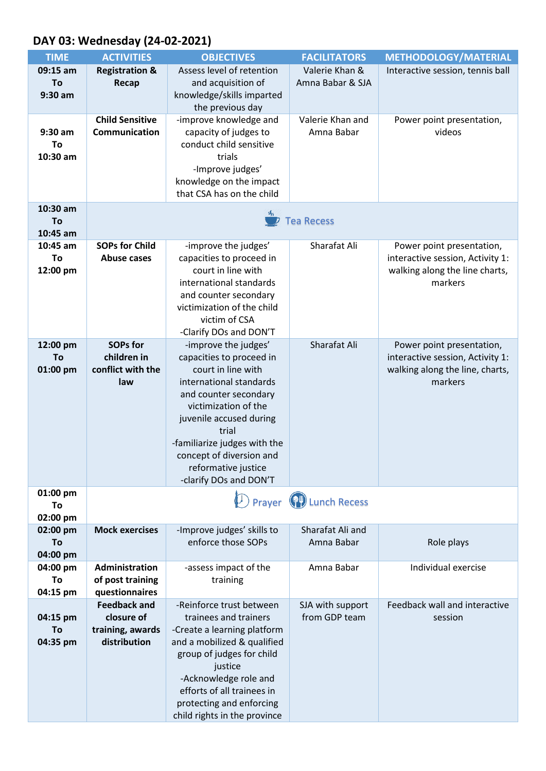## **DAY 03: Wednesday (24-02-2021)**

| <b>Registration &amp;</b><br>Assess level of retention<br>Valerie Khan &<br>09:15 am<br>Interactive session, tennis ball            |  |
|-------------------------------------------------------------------------------------------------------------------------------------|--|
|                                                                                                                                     |  |
| and acquisition of<br>Amna Babar & SJA<br>To<br>Recap                                                                               |  |
| knowledge/skills imparted<br>$9:30$ am                                                                                              |  |
| the previous day                                                                                                                    |  |
| <b>Child Sensitive</b><br>-improve knowledge and<br>Valerie Khan and<br>Power point presentation,                                   |  |
| capacity of judges to<br>Communication<br>Amna Babar<br>videos<br>$9:30$ am                                                         |  |
| conduct child sensitive<br>To<br>trials                                                                                             |  |
| 10:30 am<br>-Improve judges'                                                                                                        |  |
| knowledge on the impact                                                                                                             |  |
| that CSA has on the child                                                                                                           |  |
| 10:30 am                                                                                                                            |  |
| <b>Tea Recess</b><br>To                                                                                                             |  |
| 10:45 am                                                                                                                            |  |
| Sharafat Ali<br><b>SOPs for Child</b><br>-improve the judges'<br>10:45 am<br>Power point presentation,                              |  |
| capacities to proceed in<br>interactive session, Activity 1:<br>To<br><b>Abuse cases</b>                                            |  |
| court in line with<br>12:00 pm<br>walking along the line charts,                                                                    |  |
| international standards<br>markers                                                                                                  |  |
| and counter secondary                                                                                                               |  |
| victimization of the child                                                                                                          |  |
| victim of CSA                                                                                                                       |  |
| -Clarify DOs and DON'T                                                                                                              |  |
| <b>SOPs for</b><br>-improve the judges'<br>Sharafat Ali<br>12:00 pm<br>Power point presentation,                                    |  |
| capacities to proceed in<br>children in<br>interactive session, Activity 1:<br>To                                                   |  |
| court in line with<br>01:00 pm<br>conflict with the<br>walking along the line, charts,<br>international standards<br>markers<br>law |  |
| and counter secondary                                                                                                               |  |
| victimization of the                                                                                                                |  |
| juvenile accused during                                                                                                             |  |
| trial                                                                                                                               |  |
| -familiarize judges with the                                                                                                        |  |
| concept of diversion and                                                                                                            |  |
| reformative justice                                                                                                                 |  |
| -clarify DOs and DON'T                                                                                                              |  |
| 01:00 pm<br>D Prayer (PI) Lunch Recess                                                                                              |  |
| To                                                                                                                                  |  |
| 02:00 pm<br><b>Mock exercises</b><br>Sharafat Ali and<br>-Improve judges' skills to<br>02:00 pm                                     |  |
| enforce those SOPs<br>Amna Babar<br>Role plays<br>To                                                                                |  |
| 04:00 pm                                                                                                                            |  |
| 04:00 pm<br>Administration<br>Amna Babar<br>Individual exercise<br>-assess impact of the                                            |  |
| of post training<br>To<br>training                                                                                                  |  |
| questionnaires<br>04:15 pm                                                                                                          |  |
| <b>Feedback and</b><br>Feedback wall and interactive<br>-Reinforce trust between<br>SJA with support                                |  |
| closure of<br>from GDP team<br>trainees and trainers<br>04:15 pm<br>session                                                         |  |
| To<br>training, awards<br>-Create a learning platform                                                                               |  |
| distribution<br>and a mobilized & qualified<br>04:35 pm                                                                             |  |
| group of judges for child                                                                                                           |  |
| justice                                                                                                                             |  |
| -Acknowledge role and<br>efforts of all trainees in                                                                                 |  |
| protecting and enforcing                                                                                                            |  |
| child rights in the province                                                                                                        |  |